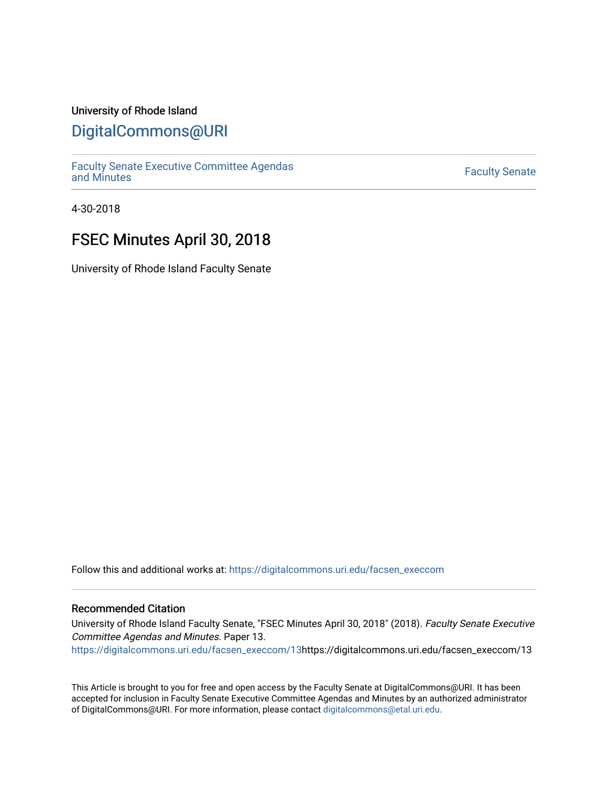## University of Rhode Island

# [DigitalCommons@URI](https://digitalcommons.uri.edu/)

[Faculty Senate Executive Committee Agendas](https://digitalcommons.uri.edu/facsen_execcom)  [and Minutes](https://digitalcommons.uri.edu/facsen_execcom) [Faculty Senate](https://digitalcommons.uri.edu/facsen) 

4-30-2018

# FSEC Minutes April 30, 2018

University of Rhode Island Faculty Senate

Follow this and additional works at: [https://digitalcommons.uri.edu/facsen\\_execcom](https://digitalcommons.uri.edu/facsen_execcom?utm_source=digitalcommons.uri.edu%2Ffacsen_execcom%2F13&utm_medium=PDF&utm_campaign=PDFCoverPages) 

#### Recommended Citation

University of Rhode Island Faculty Senate, "FSEC Minutes April 30, 2018" (2018). Faculty Senate Executive Committee Agendas and Minutes. Paper 13.

[https://digitalcommons.uri.edu/facsen\\_execcom/13h](https://digitalcommons.uri.edu/facsen_execcom/13?utm_source=digitalcommons.uri.edu%2Ffacsen_execcom%2F13&utm_medium=PDF&utm_campaign=PDFCoverPages)ttps://digitalcommons.uri.edu/facsen\_execcom/13

This Article is brought to you for free and open access by the Faculty Senate at DigitalCommons@URI. It has been accepted for inclusion in Faculty Senate Executive Committee Agendas and Minutes by an authorized administrator of DigitalCommons@URI. For more information, please contact [digitalcommons@etal.uri.edu](mailto:digitalcommons@etal.uri.edu).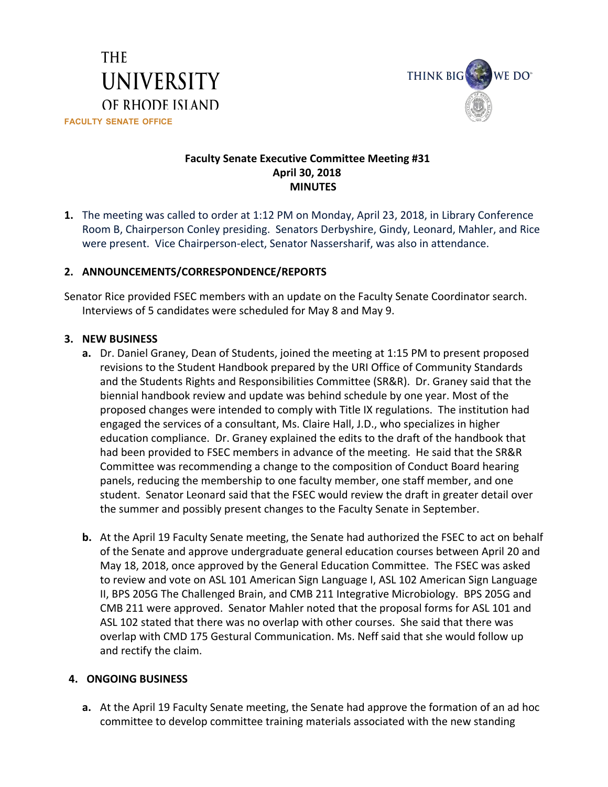



## **Faculty Senate Executive Committee Meeting #31 April 30, 2018 MINUTES**

**1.** The meeting was called to order at 1:12 PM on Monday, April 23, 2018, in Library Conference Room B, Chairperson Conley presiding. Senators Derbyshire, Gindy, Leonard, Mahler, and Rice were present. Vice Chairperson-elect, Senator Nassersharif, was also in attendance.

### **2. ANNOUNCEMENTS/CORRESPONDENCE/REPORTS**

Senator Rice provided FSEC members with an update on the Faculty Senate Coordinator search. Interviews of 5 candidates were scheduled for May 8 and May 9.

### **3. NEW BUSINESS**

- **a.** Dr. Daniel Graney, Dean of Students, joined the meeting at 1:15 PM to present proposed revisions to the Student Handbook prepared by the URI Office of Community Standards and the Students Rights and Responsibilities Committee (SR&R). Dr. Graney said that the biennial handbook review and update was behind schedule by one year. Most of the proposed changes were intended to comply with Title IX regulations. The institution had engaged the services of a consultant, Ms. Claire Hall, J.D., who specializes in higher education compliance. Dr. Graney explained the edits to the draft of the handbook that had been provided to FSEC members in advance of the meeting. He said that the SR&R Committee was recommending a change to the composition of Conduct Board hearing panels, reducing the membership to one faculty member, one staff member, and one student. Senator Leonard said that the FSEC would review the draft in greater detail over the summer and possibly present changes to the Faculty Senate in September.
- **b.** At the April 19 Faculty Senate meeting, the Senate had authorized the FSEC to act on behalf of the Senate and approve undergraduate general education courses between April 20 and May 18, 2018, once approved by the General Education Committee. The FSEC was asked to review and vote on ASL 101 American Sign Language I, ASL 102 American Sign Language II, BPS 205G The Challenged Brain, and CMB 211 Integrative Microbiology. BPS 205G and CMB 211 were approved. Senator Mahler noted that the proposal forms for ASL 101 and ASL 102 stated that there was no overlap with other courses. She said that there was overlap with CMD 175 Gestural Communication. Ms. Neff said that she would follow up and rectify the claim.

#### **4. ONGOING BUSINESS**

**a.** At the April 19 Faculty Senate meeting, the Senate had approve the formation of an ad hoc committee to develop committee training materials associated with the new standing